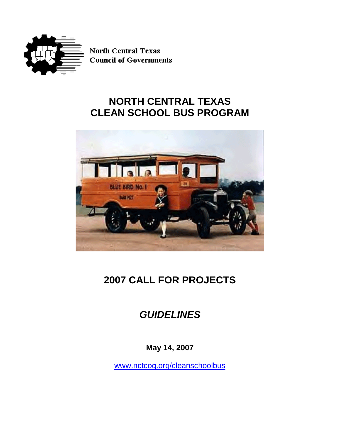

**North Central Texas Council of Governments** 

## **NORTH CENTRAL TEXAS CLEAN SCHOOL BUS PROGRAM**



# **2007 CALL FOR PROJECTS**

## *GUIDELINES*

**May 14, 2007**

[www.nctcog.org/cleanschoolbus](http://www.nctcog.org/cleanschoolbus)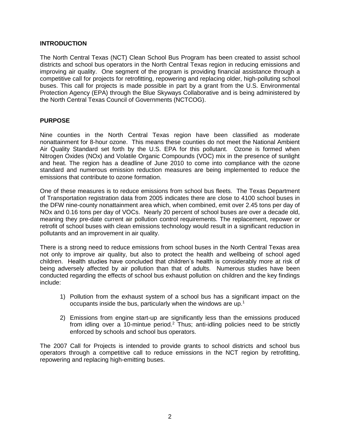## **INTRODUCTION**

The North Central Texas (NCT) Clean School Bus Program has been created to assist school districts and school bus operators in the North Central Texas region in reducing emissions and improving air quality. One segment of the program is providing financial assistance through a competitive call for projects for retrofitting, repowering and replacing older, high-polluting school buses. This call for projects is made possible in part by a grant from the U.S. Environmental Protection Agency (EPA) through the Blue Skyways Collaborative and is being administered by the North Central Texas Council of Governments (NCTCOG).

## **PURPOSE**

Nine counties in the North Central Texas region have been classified as moderate nonattainment for 8-hour ozone. This means these counties do not meet the National Ambient Air Quality Standard set forth by the U.S. EPA for this pollutant. Ozone is formed when Nitrogen Oxides (NOx) and Volatile Organic Compounds (VOC) mix in the presence of sunlight and heat. The region has a deadline of June 2010 to come into compliance with the ozone standard and numerous emission reduction measures are being implemented to reduce the emissions that contribute to ozone formation.

One of these measures is to reduce emissions from school bus fleets. The Texas Department of Transportation registration data from 2005 indicates there are close to 4100 school buses in the DFW nine-county nonattainment area which, when combined, emit over 2.45 tons per day of NOx and 0.16 tons per day of VOCs. Nearly 20 percent of school buses are over a decade old, meaning they pre-date current air pollution control requirements. The replacement, repower or retrofit of school buses with clean emissions technology would result in a significant reduction in pollutants and an improvement in air quality.

There is a strong need to reduce emissions from school buses in the North Central Texas area not only to improve air quality, but also to protect the health and wellbeing of school aged children. Health studies have concluded that children's health is considerably more at risk of being adversely affected by air pollution than that of adults. Numerous studies have been conducted regarding the effects of school bus exhaust pollution on children and the key findings include:

- 1) Pollution from the exhaust system of a school bus has a significant impact on the occupants inside the bus, particularly when the windows are up.<sup>1</sup>
- 2) Emissions from engine start-up are significantly less than the emissions produced from idling over a 10-mintue period.<sup>2</sup> Thus; anti-idling policies need to be strictly enforced by schools and school bus operators.

The 2007 Call for Projects is intended to provide grants to school districts and school bus operators through a competitive call to reduce emissions in the NCT region by retrofitting, repowering and replacing high-emitting buses.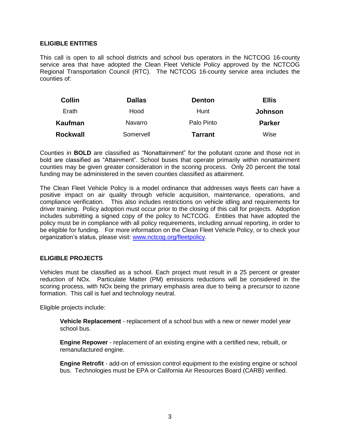#### **ELIGIBLE ENTITIES**

This call is open to all school districts and school bus operators in the NCTCOG 16-county service area that have adopted the Clean Fleet Vehicle Policy approved by the NCTCOG Regional Transportation Council (RTC). The NCTCOG 16-county service area includes the counties of:

| <b>Collin</b> | <b>Dallas</b> | <b>Denton</b>  | <b>Ellis</b>   |
|---------------|---------------|----------------|----------------|
| Erath         | Hood          | Hunt           | <b>Johnson</b> |
| Kaufman       | Navarro       | Palo Pinto     | <b>Parker</b>  |
| Rockwall      | Somervell     | <b>Tarrant</b> | Wise           |

Counties in **BOLD** are classified as "Nonattainment" for the pollutant ozone and those not in bold are classified as "Attainment". School buses that operate primarily within nonattainment counties may be given greater consideration in the scoring process. Only 20 percent the total funding may be administered in the seven counties classified as attainment.

The Clean Fleet Vehicle Policy is a model ordinance that addresses ways fleets can have a positive impact on air quality through vehicle acquisition, maintenance, operations, and compliance verification. This also includes restrictions on vehicle idling and requirements for driver training. Policy adoption must occur prior to the closing of this call for projects. Adoption includes submitting a signed copy of the policy to NCTCOG. Entities that have adopted the policy must be in compliance with all policy requirements, including annual reporting, in order to be eligible for funding. For more information on the Clean Fleet Vehicle Policy, or to check your organization's status, please visit: [www.nctcog.org/fleetpolicy.](http://www.nctcog.org/fleetpolicy)

## **ELIGIBLE PROJECTS**

Vehicles must be classified as a school. Each project must result in a 25 percent or greater reduction of NOx. Particulate Matter (PM) emissions reductions will be considered in the scoring process, with NOx being the primary emphasis area due to being a precursor to ozone formation. This call is fuel and technology neutral.

Eligible projects include:

**Vehicle Replacement** - replacement of a school bus with a new or newer model year school bus.

**Engine Repower** - replacement of an existing engine with a certified new, rebuilt, or remanufactured engine.

**Engine Retrofit** - add-on of emission control equipment to the existing engine or school bus. Technologies must be EPA or California Air Resources Board (CARB) verified.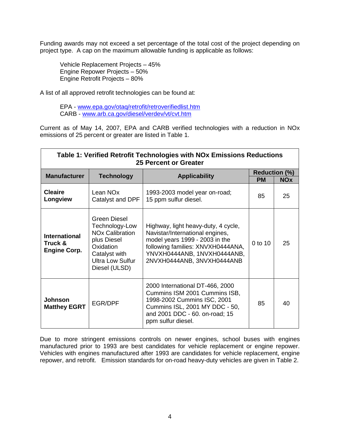Funding awards may not exceed a set percentage of the total cost of the project depending on project type. A cap on the maximum allowable funding is applicable as follows:

Vehicle Replacement Projects – 45% Engine Repower Projects – 50% Engine Retrofit Projects – 80%

A list of all approved retrofit technologies can be found at:

EPA - [www.epa.gov/otaq/retrofit/retroverifiedlist.htm](http://www.epa.gov/otaq/retrofit/retroverifiedlist.htm) CARB - [www.arb.ca.gov/diesel/verdev/vt/cvt.htm](http://www.arb.ca.gov/diesel/verdev/vt/cvt.htm)

Current as of May 14, 2007, EPA and CARB verified technologies with a reduction in NOx emissions of 25 percent or greater are listed in Table 1.

| Table 1: Verified Retrofit Technologies with NOx Emissions Reductions<br><b>25 Percent or Greater</b> |                                                                                                                                                                     |                                                                                                                                                                                                            |           |                                    |  |  |  |
|-------------------------------------------------------------------------------------------------------|---------------------------------------------------------------------------------------------------------------------------------------------------------------------|------------------------------------------------------------------------------------------------------------------------------------------------------------------------------------------------------------|-----------|------------------------------------|--|--|--|
| <b>Manufacturer</b>                                                                                   | <b>Technology</b>                                                                                                                                                   | <b>Applicability</b>                                                                                                                                                                                       | <b>PM</b> | <b>Reduction (%)</b><br><b>NOx</b> |  |  |  |
| <b>Cleaire</b><br>Longview                                                                            | Lean NO <sub>x</sub><br>Catalyst and DPF                                                                                                                            | 1993-2003 model year on-road;<br>15 ppm sulfur diesel.                                                                                                                                                     | 85        | 25                                 |  |  |  |
| <b>International</b><br>Truck &<br><b>Engine Corp.</b>                                                | <b>Green Diesel</b><br>Technology-Low<br><b>NO<sub>x</sub></b> Calibration<br>plus Diesel<br>Oxidation<br>Catalyst with<br><b>Ultra Low Sulfur</b><br>Diesel (ULSD) | Highway, light heavy-duty, 4 cycle,<br>Navistar/International engines,<br>model years 1999 - 2003 in the<br>following families: XNVXH0444ANA,<br>YNVXH0444ANB, 1NVXH0444ANB,<br>2NVXH0444ANB, 3NVXH0444ANB | $0$ to 10 | 25                                 |  |  |  |
| <b>Johnson</b><br><b>Matthey EGRT</b>                                                                 | <b>EGR/DPF</b>                                                                                                                                                      | 2000 International DT-466, 2000<br>Cummins ISM 2001 Cummins ISB,<br>1998-2002 Cummins ISC, 2001<br>Cummins ISL, 2001 MY DDC - 50,<br>and 2001 DDC - 60. on-road; 15<br>ppm sulfur diesel.                  | 85        | 40                                 |  |  |  |

Due to more stringent emissions controls on newer engines, school buses with engines manufactured prior to 1993 are best candidates for vehicle replacement or engine repower. Vehicles with engines manufactured after 1993 are candidates for vehicle replacement, engine repower, and retrofit. Emission standards for on-road heavy-duty vehicles are given in Table 2.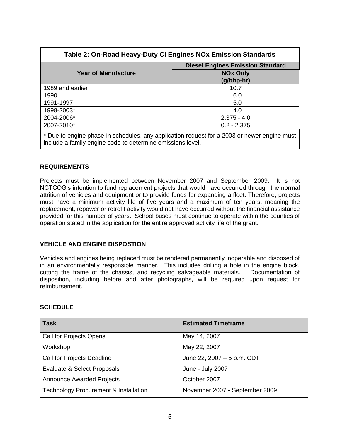| Table 2: On-Road Heavy-Duty CI Engines NOx Emission Standards                                                                                             |                                                                          |  |  |  |
|-----------------------------------------------------------------------------------------------------------------------------------------------------------|--------------------------------------------------------------------------|--|--|--|
| <b>Year of Manufacture</b>                                                                                                                                | <b>Diesel Engines Emission Standard</b><br><b>NOx Only</b><br>(g/bhp-hr) |  |  |  |
| 1989 and earlier                                                                                                                                          | 10.7                                                                     |  |  |  |
| 1990                                                                                                                                                      | 6.0                                                                      |  |  |  |
| 1991-1997                                                                                                                                                 | 5.0                                                                      |  |  |  |
| 1998-2003*                                                                                                                                                | 4.0                                                                      |  |  |  |
| 2004-2006*                                                                                                                                                | $2.375 - 4.0$                                                            |  |  |  |
| 2007-2010*                                                                                                                                                | $0.2 - 2.375$                                                            |  |  |  |
| * Due to engine phase-in schedules, any application request for a 2003 or newer engine must<br>include a family engine code to determine emissions level. |                                                                          |  |  |  |

## **REQUIREMENTS**

Projects must be implemented between November 2007 and September 2009. It is not NCTCOG's intention to fund replacement projects that would have occurred through the normal attrition of vehicles and equipment or to provide funds for expanding a fleet. Therefore, projects must have a minimum activity life of five years and a maximum of ten years, meaning the replacement, repower or retrofit activity would not have occurred without the financial assistance provided for this number of years. School buses must continue to operate within the counties of operation stated in the application for the entire approved activity life of the grant.

## **VEHICLE AND ENGINE DISPOSTION**

Vehicles and engines being replaced must be rendered permanently inoperable and disposed of in an environmentally responsible manner. This includes drilling a hole in the engine block, cutting the frame of the chassis, and recycling salvageable materials. Documentation of disposition, including before and after photographs, will be required upon request for reimbursement.

| <b>Task</b>                                      | <b>Estimated Timeframe</b>     |
|--------------------------------------------------|--------------------------------|
| <b>Call for Projects Opens</b>                   | May 14, 2007                   |
| Workshop                                         | May 22, 2007                   |
| <b>Call for Projects Deadline</b>                | June 22, 2007 - 5 p.m. CDT     |
| Evaluate & Select Proposals                      | June - July 2007               |
| <b>Announce Awarded Projects</b>                 | October 2007                   |
| <b>Technology Procurement &amp; Installation</b> | November 2007 - September 2009 |

#### **SCHEDULE**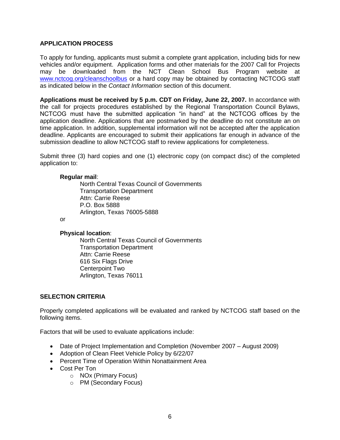## **APPLICATION PROCESS**

To apply for funding, applicants must submit a complete grant application, including bids for new vehicles and/or equipment. Application forms and other materials for the 2007 Call for Projects may be downloaded from the NCT Clean School Bus Program website at [www.nctcog.org/cleanschoolbus](http://www.nctcog.org/cleanschoolbus) or a hard copy may be obtained by contacting NCTCOG staff as indicated below in the *Contact Information* section of this document.

**[Applications](http://www.nctcog.org/trans/clean/schoolbus/index.asp?) must be received by 5 p.m. CDT on Friday, June 22, 2007.** In accordance with the call for projects procedures established by the Regional Transportation Council Bylaws, NCTCOG must have the submitted application "in hand" at the NCTCOG offices by the application deadline. Applications that are postmarked by the deadline do not constitute an on time application. In addition, supplemental information will not be accepted after the application deadline. Applicants are encouraged to submit their applications far enough in advance of the submission deadline to allow NCTCOG staff to review applications for completeness.

Submit three (3) hard copies and one (1) electronic copy (on compact disc) of the completed application to:

#### **Regular mail**:

North Central Texas Council of Governments Transportation Department Attn: Carrie Reese P.O. Box 5888 Arlington, Texas 76005-5888

or

## **Physical location**:

North Central Texas Council of Governments Transportation Department Attn: Carrie Reese 616 Six Flags Drive Centerpoint Two Arlington, Texas 76011

## **SELECTION CRITERIA**

Properly completed applications will be evaluated and ranked by NCTCOG staff based on the following items.

Factors that will be used to evaluate applications include:

- Date of Project Implementation and Completion (November 2007 August 2009)
- Adoption of Clean Fleet Vehicle Policy by 6/22/07
- Percent Time of Operation Within Nonattainment Area
- Cost Per Ton
	- o NOx (Primary Focus)
	- o PM (Secondary Focus)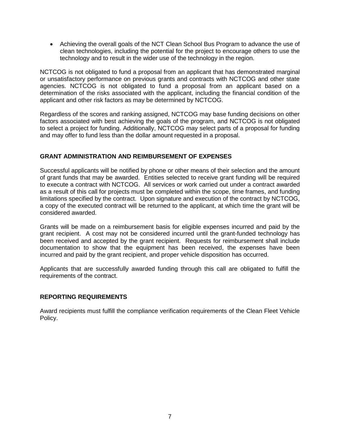Achieving the overall goals of the NCT Clean School Bus Program to advance the use of clean technologies, including the potential for the project to encourage others to use the technology and to result in the wider use of the technology in the region.

NCTCOG is not obligated to fund a proposal from an applicant that has demonstrated marginal or unsatisfactory performance on previous grants and contracts with NCTCOG and other state agencies. NCTCOG is not obligated to fund a proposal from an applicant based on a determination of the risks associated with the applicant, including the financial condition of the applicant and other risk factors as may be determined by NCTCOG.

Regardless of the scores and ranking assigned, NCTCOG may base funding decisions on other factors associated with best achieving the goals of the program, and NCTCOG is not obligated to select a project for funding. Additionally, NCTCOG may select parts of a proposal for funding and may offer to fund less than the dollar amount requested in a proposal.

## **GRANT ADMINISTRATION AND REIMBURSEMENT OF EXPENSES**

Successful applicants will be notified by phone or other means of their selection and the amount of grant funds that may be awarded. Entities selected to receive grant funding will be required to execute a contract with NCTCOG. All services or work carried out under a contract awarded as a result of this call for projects must be completed within the scope, time frames, and funding limitations specified by the contract. Upon signature and execution of the contract by NCTCOG, a copy of the executed contract will be returned to the applicant, at which time the grant will be considered awarded.

Grants will be made on a reimbursement basis for eligible expenses incurred and paid by the grant recipient. A cost may not be considered incurred until the grant-funded technology has been received and accepted by the grant recipient. Requests for reimbursement shall include documentation to show that the equipment has been received, the expenses have been incurred and paid by the grant recipient, and proper vehicle disposition has occurred.

Applicants that are successfully awarded funding through this call are obligated to fulfill the requirements of the contract.

## **REPORTING REQUIREMENTS**

Award recipients must fulfill the compliance verification requirements of the Clean Fleet Vehicle Policy.